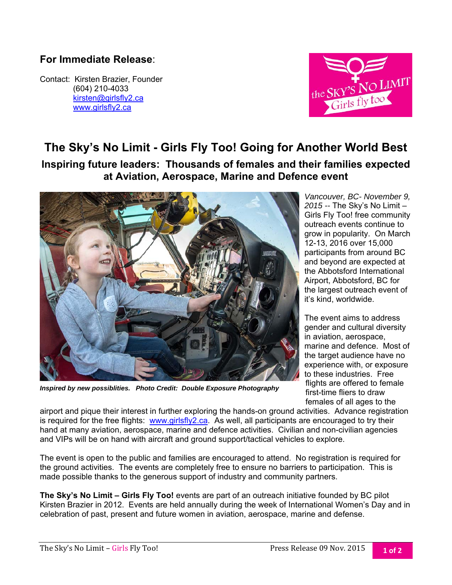## **For Immediate Release**:

Contact: Kirsten Brazier, Founder (604) 210-4033 kirsten@girlsfly2.ca www.girlsfly2.ca



## **The Sky's No Limit - Girls Fly Too! Going for Another World Best**

**Inspiring future leaders: Thousands of females and their families expected at Aviation, Aerospace, Marine and Defence event** 



*Inspired by new possiblities. Photo Credit: Double Exposure Photography* 

*Vancouver, BC- November 9, 2015 --* The Sky's No Limit – Girls Fly Too! free community outreach events continue to grow in popularity. On March 12-13, 2016 over 15,000 participants from around BC and beyond are expected at the Abbotsford International Airport, Abbotsford, BC for the largest outreach event of it's kind, worldwide.

The event aims to address gender and cultural diversity in aviation, aerospace, marine and defence. Most of the target audience have no experience with, or exposure to these industries. Free flights are offered to female first-time fliers to draw females of all ages to the

airport and pique their interest in further exploring the hands-on ground activities. Advance registration is required for the free flights: www.girlsfly2.ca. As well, all participants are encouraged to try their hand at many aviation, aerospace, marine and defence activities. Civilian and non-civilian agencies and VIPs will be on hand with aircraft and ground support/tactical vehicles to explore.

The event is open to the public and families are encouraged to attend. No registration is required for the ground activities. The events are completely free to ensure no barriers to participation. This is made possible thanks to the generous support of industry and community partners.

**The Sky's No Limit – Girls Fly Too!** events are part of an outreach initiative founded by BC pilot Kirsten Brazier in 2012. Events are held annually during the week of International Women's Day and in celebration of past, present and future women in aviation, aerospace, marine and defense.